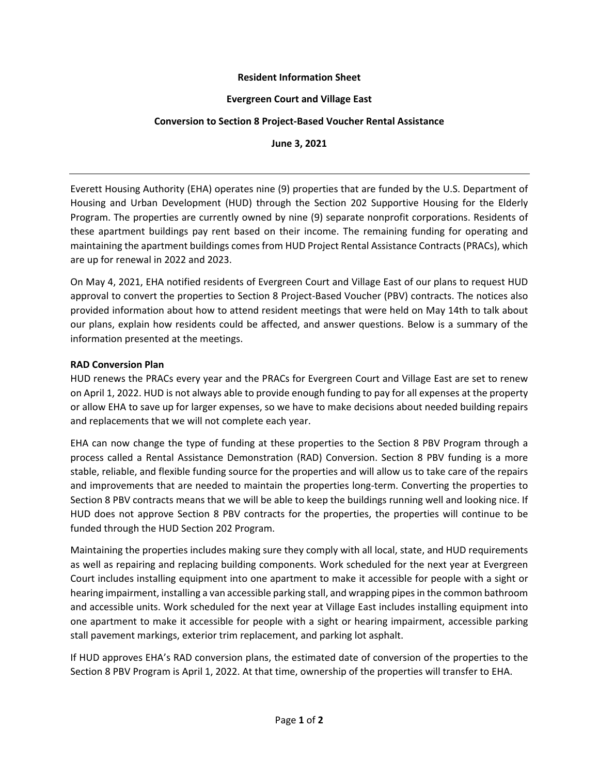## **Resident Information Sheet**

## **Evergreen Court and Village East**

# **Conversion to Section 8 Project-Based Voucher Rental Assistance**

**June 3, 2021**

Everett Housing Authority (EHA) operates nine (9) properties that are funded by the U.S. Department of Housing and Urban Development (HUD) through the Section 202 Supportive Housing for the Elderly Program. The properties are currently owned by nine (9) separate nonprofit corporations. Residents of these apartment buildings pay rent based on their income. The remaining funding for operating and maintaining the apartment buildings comes from HUD Project Rental Assistance Contracts (PRACs), which are up for renewal in 2022 and 2023.

On May 4, 2021, EHA notified residents of Evergreen Court and Village East of our plans to request HUD approval to convert the properties to Section 8 Project-Based Voucher (PBV) contracts. The notices also provided information about how to attend resident meetings that were held on May 14th to talk about our plans, explain how residents could be affected, and answer questions. Below is a summary of the information presented at the meetings.

# **RAD Conversion Plan**

HUD renews the PRACs every year and the PRACs for Evergreen Court and Village East are set to renew on April 1, 2022. HUD is not always able to provide enough funding to pay for all expenses at the property or allow EHA to save up for larger expenses, so we have to make decisions about needed building repairs and replacements that we will not complete each year.

EHA can now change the type of funding at these properties to the Section 8 PBV Program through a process called a Rental Assistance Demonstration (RAD) Conversion. Section 8 PBV funding is a more stable, reliable, and flexible funding source for the properties and will allow us to take care of the repairs and improvements that are needed to maintain the properties long-term. Converting the properties to Section 8 PBV contracts means that we will be able to keep the buildings running well and looking nice. If HUD does not approve Section 8 PBV contracts for the properties, the properties will continue to be funded through the HUD Section 202 Program.

Maintaining the properties includes making sure they comply with all local, state, and HUD requirements as well as repairing and replacing building components. Work scheduled for the next year at Evergreen Court includes installing equipment into one apartment to make it accessible for people with a sight or hearing impairment, installing a van accessible parking stall, and wrapping pipes in the common bathroom and accessible units. Work scheduled for the next year at Village East includes installing equipment into one apartment to make it accessible for people with a sight or hearing impairment, accessible parking stall pavement markings, exterior trim replacement, and parking lot asphalt.

If HUD approves EHA's RAD conversion plans, the estimated date of conversion of the properties to the Section 8 PBV Program is April 1, 2022. At that time, ownership of the properties will transfer to EHA.